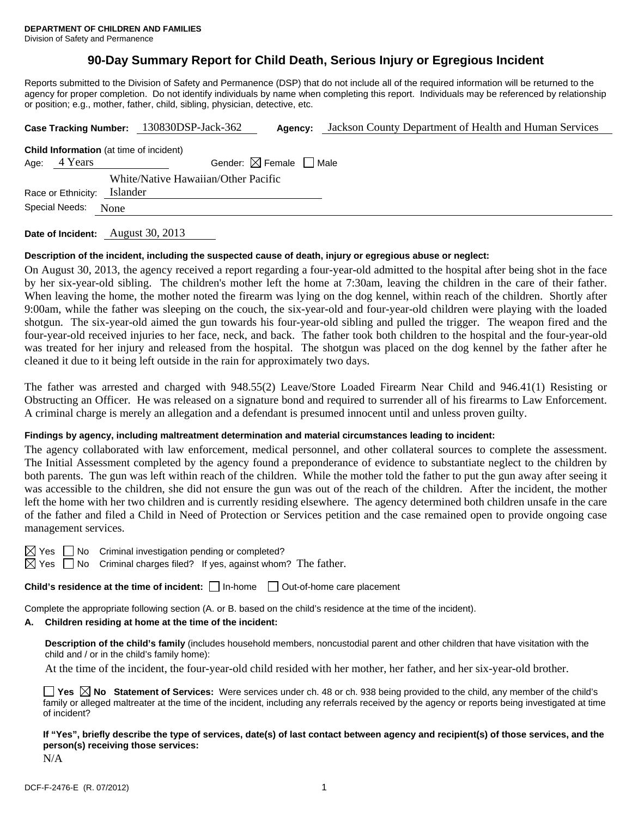# **90-Day Summary Report for Child Death, Serious Injury or Egregious Incident**

Reports submitted to the Division of Safety and Permanence (DSP) that do not include all of the required information will be returned to the agency for proper completion. Do not identify individuals by name when completing this report. Individuals may be referenced by relationship or position; e.g., mother, father, child, sibling, physician, detective, etc.

|                |                    |                                        | Case Tracking Number: 130830DSP-Jack-362       | Agency: | Jackson County Department of Health and Human Services |  |
|----------------|--------------------|----------------------------------------|------------------------------------------------|---------|--------------------------------------------------------|--|
|                |                    |                                        | <b>Child Information</b> (at time of incident) |         |                                                        |  |
| Age:           | 4 Years            | Gender: $\boxtimes$ Female $\Box$ Male |                                                |         |                                                        |  |
|                |                    |                                        | White/Native Hawaiian/Other Pacific            |         |                                                        |  |
|                | Race or Ethnicity: | Islander                               |                                                |         |                                                        |  |
| Special Needs: |                    | None                                   |                                                |         |                                                        |  |
|                |                    |                                        |                                                |         |                                                        |  |

**Date of Incident:** August 30, 2013

### **Description of the incident, including the suspected cause of death, injury or egregious abuse or neglect:**

On August 30, 2013, the agency received a report regarding a four-year-old admitted to the hospital after being shot in the face by her six-year-old sibling. The children's mother left the home at 7:30am, leaving the children in the care of their father. When leaving the home, the mother noted the firearm was lying on the dog kennel, within reach of the children. Shortly after 9:00am, while the father was sleeping on the couch, the six-year-old and four-year-old children were playing with the loaded shotgun. The six-year-old aimed the gun towards his four-year-old sibling and pulled the trigger. The weapon fired and the four-year-old received injuries to her face, neck, and back. The father took both children to the hospital and the four-year-old was treated for her injury and released from the hospital. The shotgun was placed on the dog kennel by the father after he cleaned it due to it being left outside in the rain for approximately two days.

The father was arrested and charged with 948.55(2) Leave/Store Loaded Firearm Near Child and 946.41(1) Resisting or Obstructing an Officer. He was released on a signature bond and required to surrender all of his firearms to Law Enforcement. A criminal charge is merely an allegation and a defendant is presumed innocent until and unless proven guilty.

#### **Findings by agency, including maltreatment determination and material circumstances leading to incident:**

The agency collaborated with law enforcement, medical personnel, and other collateral sources to complete the assessment. The Initial Assessment completed by the agency found a preponderance of evidence to substantiate neglect to the children by both parents. The gun was left within reach of the children. While the mother told the father to put the gun away after seeing it was accessible to the children, she did not ensure the gun was out of the reach of the children. After the incident, the mother left the home with her two children and is currently residing elsewhere. The agency determined both children unsafe in the care of the father and filed a Child in Need of Protection or Services petition and the case remained open to provide ongoing case management services.

No Criminal investigation pending or completed?

 $\Box$  No Criminal charges filed? If yes, against whom? The father.

**Child's residence at the time of incident:**  $\Box$  In-home  $\Box$  Out-of-home care placement

Complete the appropriate following section (A. or B. based on the child's residence at the time of the incident).

#### **A. Children residing at home at the time of the incident:**

**Description of the child's family** (includes household members, noncustodial parent and other children that have visitation with the child and / or in the child's family home):

At the time of the incident, the four-year-old child resided with her mother, her father, and her six-year-old brother.

|              |  |  |  |  | <b>T</b> Yes $\boxtimes$ No Statement of Services: Were services under ch. 48 or ch. 938 being provided to the child, any member of the child's |  |
|--------------|--|--|--|--|-------------------------------------------------------------------------------------------------------------------------------------------------|--|
|              |  |  |  |  | family or alleged maltreater at the time of the incident, including any referrals received by the agency or reports being investigated at time  |  |
| of incident? |  |  |  |  |                                                                                                                                                 |  |

**If "Yes", briefly describe the type of services, date(s) of last contact between agency and recipient(s) of those services, and the person(s) receiving those services:** 

N/A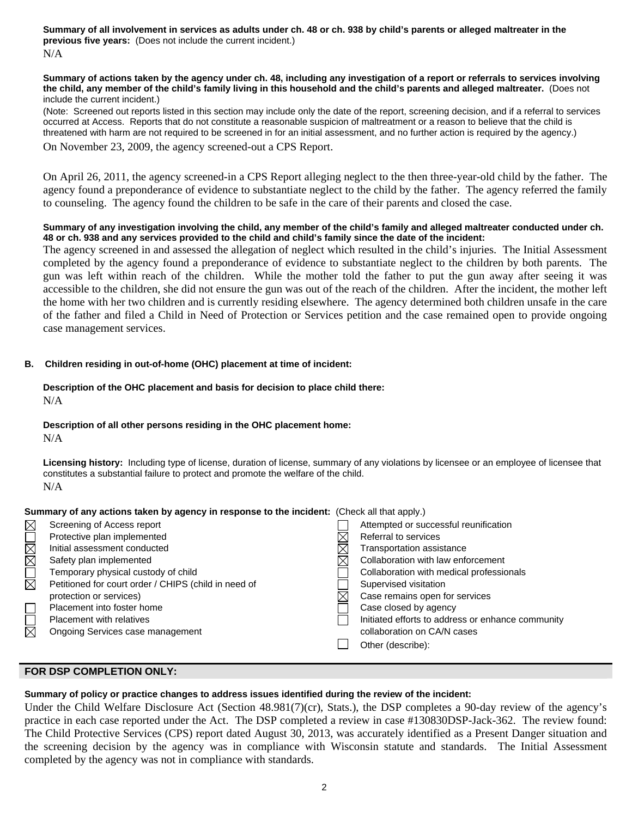**Summary of all involvement in services as adults under ch. 48 or ch. 938 by child's parents or alleged maltreater in the previous five years:** (Does not include the current incident.) N/A

#### **Summary of actions taken by the agency under ch. 48, including any investigation of a report or referrals to services involving the child, any member of the child's family living in this household and the child's parents and alleged maltreater.** (Does not include the current incident.)

(Note: Screened out reports listed in this section may include only the date of the report, screening decision, and if a referral to services occurred at Access. Reports that do not constitute a reasonable suspicion of maltreatment or a reason to believe that the child is threatened with harm are not required to be screened in for an initial assessment, and no further action is required by the agency.)

On November 23, 2009, the agency screened-out a CPS Report.

On April 26, 2011, the agency screened-in a CPS Report alleging neglect to the then three-year-old child by the father. The agency found a preponderance of evidence to substantiate neglect to the child by the father. The agency referred the family to counseling. The agency found the children to be safe in the care of their parents and closed the case.

# **Summary of any investigation involving the child, any member of the child's family and alleged maltreater conducted under ch. 48 or ch. 938 and any services provided to the child and child's family since the date of the incident:**

The agency screened in and assessed the allegation of neglect which resulted in the child's injuries. The Initial Assessment completed by the agency found a preponderance of evidence to substantiate neglect to the children by both parents. The gun was left within reach of the children. While the mother told the father to put the gun away after seeing it was accessible to the children, she did not ensure the gun was out of the reach of the children. After the incident, the mother left the home with her two children and is currently residing elsewhere. The agency determined both children unsafe in the care of the father and filed a Child in Need of Protection or Services petition and the case remained open to provide ongoing case management services.

# **B. Children residing in out-of-home (OHC) placement at time of incident:**

### **Description of the OHC placement and basis for decision to place child there:** N/A

### **Description of all other persons residing in the OHC placement home:**

N/A

**Licensing history:** Including type of license, duration of license, summary of any violations by licensee or an employee of licensee that constitutes a substantial failure to protect and promote the welfare of the child. N/A

| Summary of any actions taken by agency in response to the incident: (Check all that apply.) |                                                      |  |                                                   |  |  |  |
|---------------------------------------------------------------------------------------------|------------------------------------------------------|--|---------------------------------------------------|--|--|--|
| $\boxtimes$                                                                                 | Screening of Access report                           |  | Attempted or successful reunification             |  |  |  |
|                                                                                             | Protective plan implemented                          |  | Referral to services                              |  |  |  |
|                                                                                             | Initial assessment conducted                         |  | Transportation assistance                         |  |  |  |
| NOMMO                                                                                       | Safety plan implemented                              |  | Collaboration with law enforcement                |  |  |  |
|                                                                                             | Temporary physical custody of child                  |  | Collaboration with medical professionals          |  |  |  |
|                                                                                             | Petitioned for court order / CHIPS (child in need of |  | Supervised visitation                             |  |  |  |
|                                                                                             | protection or services)                              |  | Case remains open for services                    |  |  |  |
| $\Box$                                                                                      | Placement into foster home                           |  | Case closed by agency                             |  |  |  |
| $\overline{\Xi}$                                                                            | Placement with relatives                             |  | Initiated efforts to address or enhance community |  |  |  |
|                                                                                             | Ongoing Services case management                     |  | collaboration on CA/N cases                       |  |  |  |
|                                                                                             |                                                      |  | Other (describe):                                 |  |  |  |

# **FOR DSP COMPLETION ONLY:**

# **Summary of policy or practice changes to address issues identified during the review of the incident:**

Under the Child Welfare Disclosure Act (Section 48.981(7)(cr), Stats.), the DSP completes a 90-day review of the agency's practice in each case reported under the Act. The DSP completed a review in case #130830DSP-Jack-362. The review found: The Child Protective Services (CPS) report dated August 30, 2013, was accurately identified as a Present Danger situation and the screening decision by the agency was in compliance with Wisconsin statute and standards. The Initial Assessment completed by the agency was not in compliance with standards.